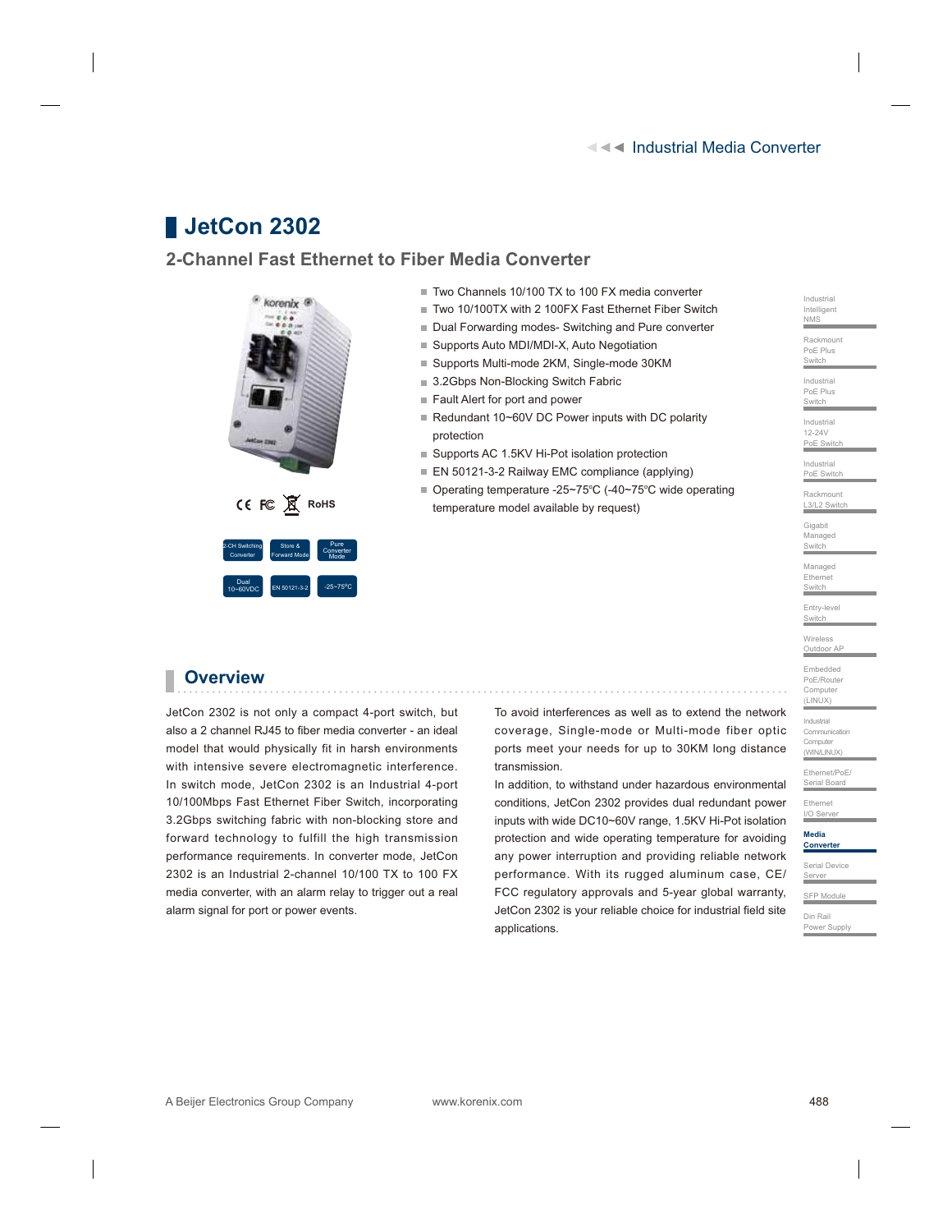# **JetCon 2302**

### **2-Channel Fast Ethernet to Fiber Media Converter**



2<br>EN 50121-3-

- Two Channels 10/100 TX to 100 FX media converter
- Two 10/100TX with 2 100FX Fast Ethernet Fiber Switch
- Dual Forwarding modes- Switching and Pure converter
- Supports Auto MDI/MDI-X, Auto Negotiation
- Supports Multi-mode 2KM, Single-mode 30KM
- 3.2Gbps Non-Blocking Switch Fabric
- Fault Alert for port and power
- Redundant 10~60V DC Power inputs with DC polarity protection
- Supports AC 1.5KV Hi-Pot isolation protection
- EN 50121-3-2 Railway EMC compliance (applying)
- Operating temperature -25~75°C (-40~75°C wide operating **CE FC R** RoHS **ROHS ROHS ROWS ROWS ROWS ROWS ROWS ROWS ROWS ROWS ROWS ROWS ROWS ROWS ROWS ROWS ROWS ROWS ROWS ROWS ROWS ROWS ROWS ROWS ROWS ROWS ROWS ROWS ROWS R**

## **Overview**

Dual

JetCon 2302 is not only a compact 4-port switch, but also a 2 channel RJ45 to fiber media converter - an ideal model that would physically fit in harsh environments with intensive severe electromagnetic interference. In switch mode, JetCon 2302 is an Industrial 4-port 10/100Mbps Fast Ethernet Fiber Switch, incorporating 3.2Gbps switching fabric with non-blocking store and forward technology to fulfill the high transmission performance requirements. In converter mode, JetCon 2302 is an Industrial 2-channel 10/100 TX to 100 FX media converter, with an alarm relay to trigger out a real alarm signal for port or power events.

To avoid interferences as well as to extend the network coverage, Single-mode or Multi-mode fiber optic ports meet your needs for up to 30KM long distance transmission.

In addition, to withstand under hazardous environmental conditions, JetCon 2302 provides dual redundant power inputs with wide DC10~60V range, 1.5KV Hi-Pot isolation protection and wide operating temperature for avoiding any power interruption and providing reliable network performance. With its rugged aluminum case, CE/ FCC regulatory approvals and 5-year global warranty, JetCon 2302 is your reliable choice for industrial field site applications.

Switch Industrial PoE Plus Switch Industrial 12-24V ........<br>PoE Switc Industrial PoE Switch Rackmount L3/L2 Switch Gigabit Managed **Switch** Managed Ethernet **Switch** Entry-level Switch Wireless Outdoor AP Embedded PoE/Router Computer  $(X|I|N)$ Industrial Communication Computer (WIN/LINUX) Ethernet/PoE/ Serial Board Ethernet I/O Server **Media Convert** Serial Device Server SFP Modul Din Rail Power Supply

Industrial Intelligent NMS Rackmount PoE Plus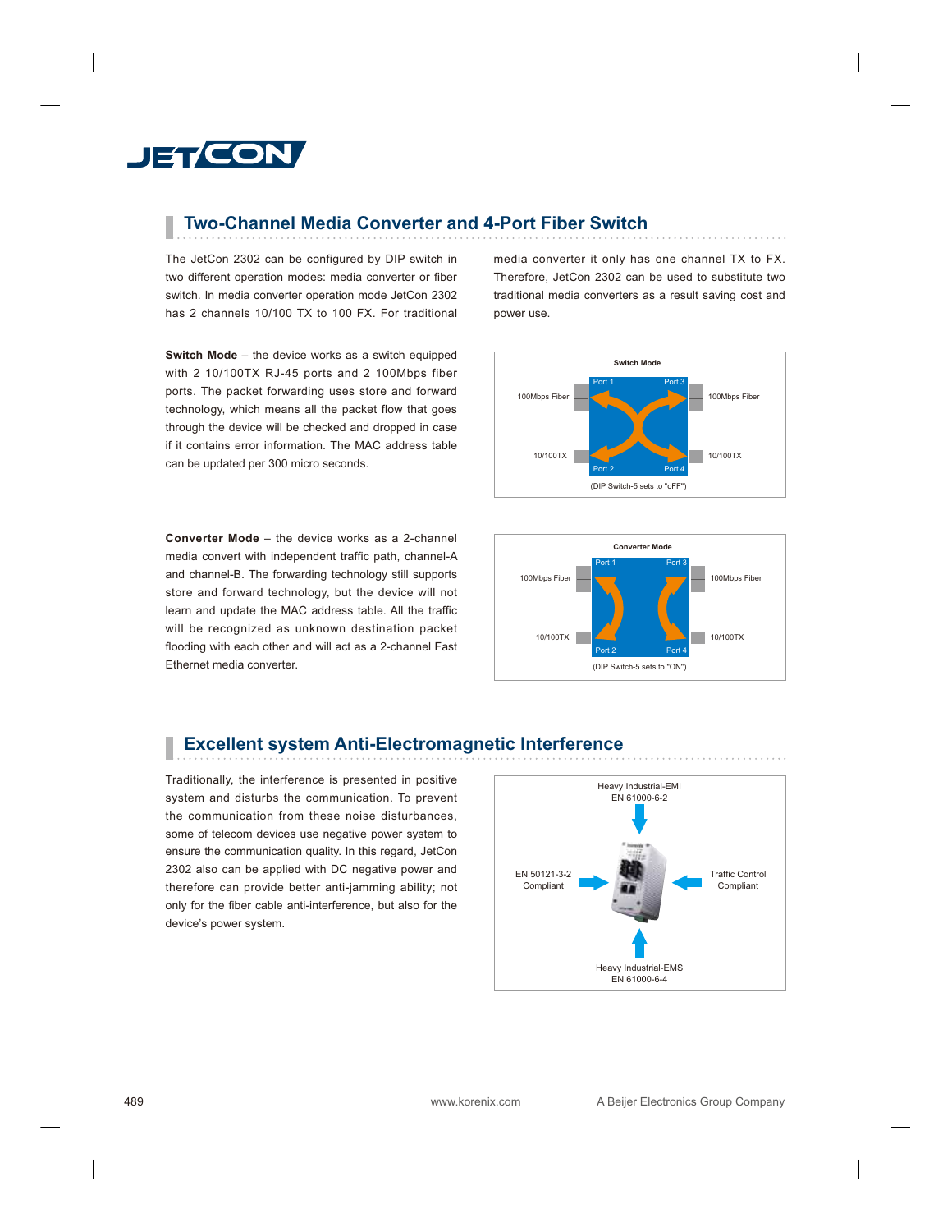# **JET CON**

## **Two-Channel Media Converter and 4-Port Fiber Switch**

The JetCon 2302 can be configured by DIP switch in two different operation modes: media converter or fiber switch. In media converter operation mode JetCon 2302 has 2 channels 10/100 TX to 100 FX. For traditional

**Switch Mode** – the device works as a switch equipped with 2 10/100TX RJ-45 ports and 2 100Mbps fiber ports. The packet forwarding uses store and forward technology, which means all the packet flow that goes through the device will be checked and dropped in case if it contains error information. The MAC address table can be updated per 300 micro seconds.

**Converter Mode** – the device works as a 2-channel media convert with independent traffic path, channel-A and channel-B. The forwarding technology still supports store and forward technology, but the device will not learn and update the MAC address table. All the traffic will be recognized as unknown destination packet flooding with each other and will act as a 2-channel Fast Ethernet media converter.

media converter it only has one channel TX to FX. Therefore, JetCon 2302 can be used to substitute two traditional media converters as a result saving cost and power use.





## **Excellent system Anti-Electromagnetic Interference**

Traditionally, the interference is presented in positive system and disturbs the communication. To prevent the communication from these noise disturbances, some of telecom devices use negative power system to ensure the communication quality. In this regard, JetCon 2302 also can be applied with DC negative power and therefore can provide better anti-jamming ability; not only for the fiber cable anti-interference, but also for the device's power system.

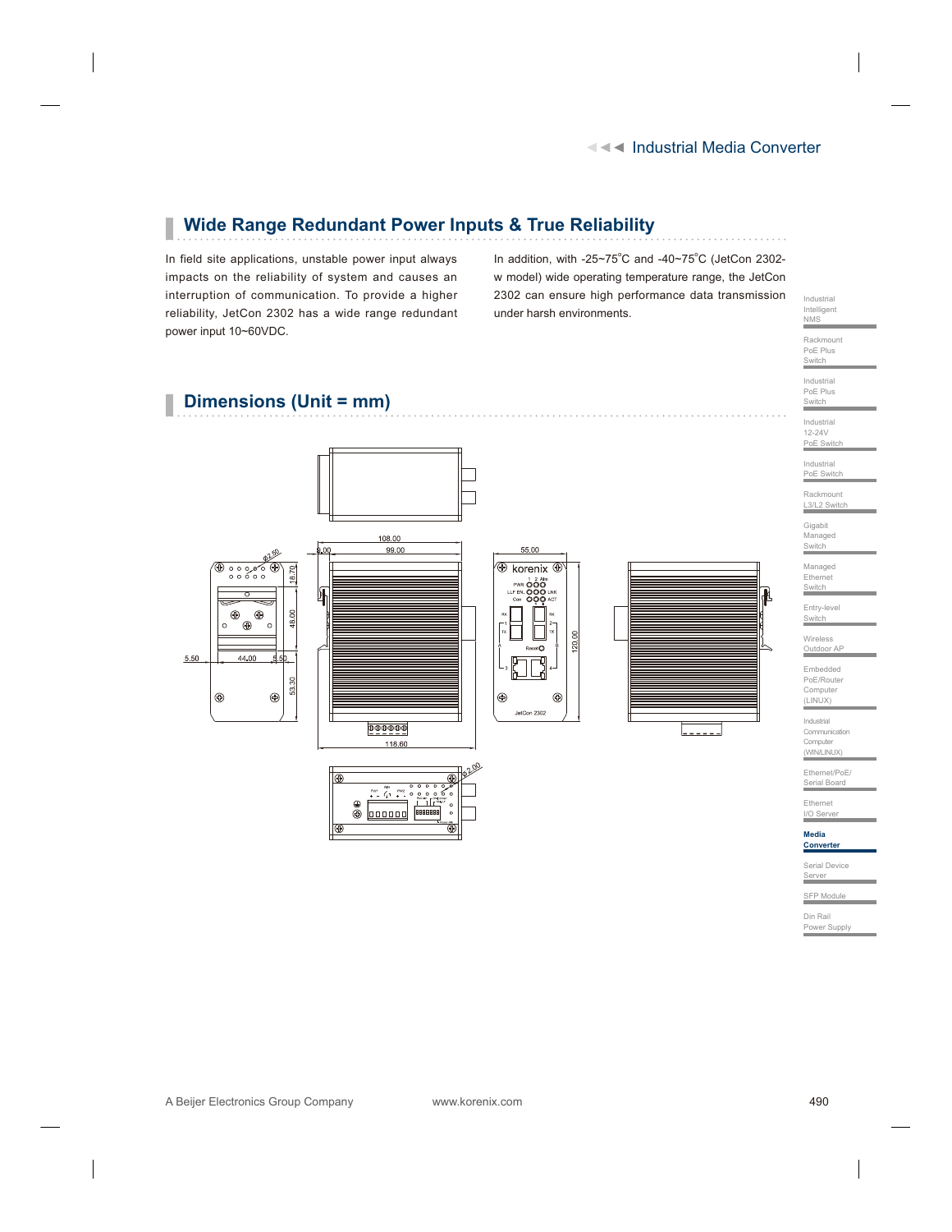#### **Wide Range Redundant Power Inputs & True Reliability** П

In field site applications, unstable power input always impacts on the reliability of system and causes an interruption of communication. To provide a higher reliability, JetCon 2302 has a wide range redundant power input 10~60VDC.

In addition, with -25~75 $^{\circ}$ C and -40~75 $^{\circ}$ C (JetCon 2302w model) wide operating temperature range, the JetCon 2302 can ensure high performance data transmission under harsh environments.

## **Dimensions (Unit = mm)**



T



ò

⊕

Industrial PoE Plus **Switch** Industrial 12-24V PoE Switch Industrial PoE Switch Rackmount L3/L2 Switch Gigabit Managed Switch<br>
Switch Managed Ethernet **Switch** Entry-level **Switch** Wireless Outdoor AP Embedded PoE/Router Computer (LINUX) Industrial Communication Computer (WIN/LINUX) Ethernet/PoE/ Serial Board Ethernet I/O Server **Media Converte** Serial Device Server SFP Module Din Rail Power Supply

Industrial Intelligent NMS Rackmount PoE Plus **Switch**